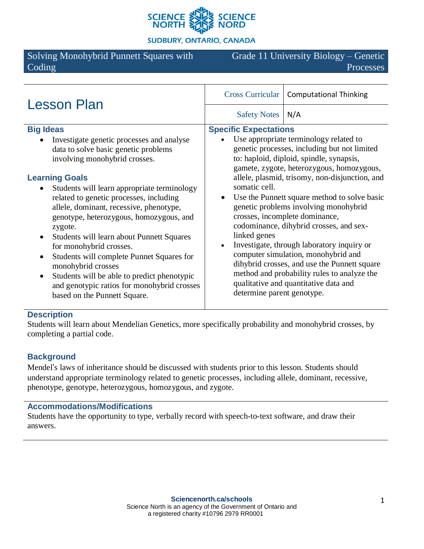

**SUDBURY, ONTARIO, CANADA** 

Solving Monohybrid Punnett Squares with Coding

Grade 11 University Biology – Genetic Processes

| <b>Lesson Plan</b>                                                                                                                                                                                                                                                                                                                                                                                                                                                                                                                                                                                                                                                         | <b>Cross Curricular</b><br><b>Computational Thinking</b>                                                                                                                                                                                                                                                                                                                                                                                                                                                                                                                                                                                                                                                                            |
|----------------------------------------------------------------------------------------------------------------------------------------------------------------------------------------------------------------------------------------------------------------------------------------------------------------------------------------------------------------------------------------------------------------------------------------------------------------------------------------------------------------------------------------------------------------------------------------------------------------------------------------------------------------------------|-------------------------------------------------------------------------------------------------------------------------------------------------------------------------------------------------------------------------------------------------------------------------------------------------------------------------------------------------------------------------------------------------------------------------------------------------------------------------------------------------------------------------------------------------------------------------------------------------------------------------------------------------------------------------------------------------------------------------------------|
|                                                                                                                                                                                                                                                                                                                                                                                                                                                                                                                                                                                                                                                                            | <b>Safety Notes</b><br>N/A                                                                                                                                                                                                                                                                                                                                                                                                                                                                                                                                                                                                                                                                                                          |
| <b>Big Ideas</b><br>Investigate genetic processes and analyse<br>data to solve basic genetic problems<br>involving monohybrid crosses.<br><b>Learning Goals</b><br>Students will learn appropriate terminology<br>related to genetic processes, including<br>allele, dominant, recessive, phenotype,<br>genotype, heterozygous, homozygous, and<br>zygote.<br>Students will learn about Punnett Squares<br>$\bullet$<br>for monohybrid crosses.<br>Students will complete Punnet Squares for<br>$\bullet$<br>monohybrid crosses<br>Students will be able to predict phenotypic<br>$\bullet$<br>and genotypic ratios for monohybrid crosses<br>based on the Punnett Square. | <b>Specific Expectations</b><br>Use appropriate terminology related to<br>genetic processes, including but not limited<br>to: haploid, diploid, spindle, synapsis,<br>gamete, zygote, heterozygous, homozygous,<br>allele, plasmid, trisomy, non-disjunction, and<br>somatic cell.<br>Use the Punnett square method to solve basic<br>genetic problems involving monohybrid<br>crosses, incomplete dominance,<br>codominance, dihybrid crosses, and sex-<br>linked genes<br>Investigate, through laboratory inquiry or<br>computer simulation, monohybrid and<br>dihybrid crosses, and use the Punnett square<br>method and probability rules to analyze the<br>qualitative and quantitative data and<br>determine parent genotype. |
|                                                                                                                                                                                                                                                                                                                                                                                                                                                                                                                                                                                                                                                                            |                                                                                                                                                                                                                                                                                                                                                                                                                                                                                                                                                                                                                                                                                                                                     |

### **Description**

Students will learn about Mendelian Genetics, more specifically probability and monohybrid crosses, by completing a partial code.

#### **Background**

Mendel's laws of inheritance should be discussed with students prior to this lesson. Students should understand appropriate terminology related to genetic processes, including allele, dominant, recessive, phenotype, genotype, heterozygous, homozygous, and zygote.

#### **Accommodations/Modifications**

Students have the opportunity to type, verbally record with speech-to-text software, and draw their answers.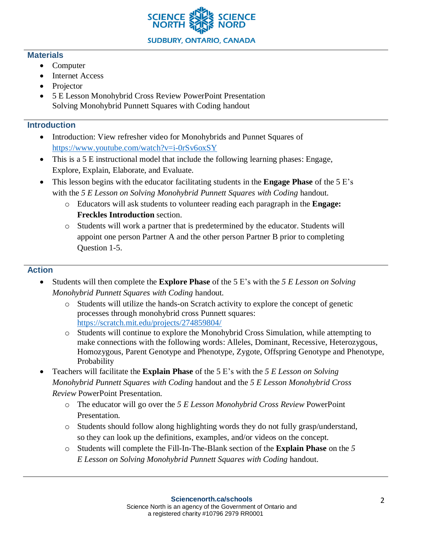

#### **Materials**

- Computer
- Internet Access
- Projector
- 5 E Lesson Monohybrid Cross Review PowerPoint Presentation Solving Monohybrid Punnett Squares with Coding handout

# **Introduction**

- Introduction: View refresher video for Monohybrids and Punnet Squares of <https://www.youtube.com/watch?v=i-0rSv6oxSY>
- This is a 5 E instructional model that include the following learning phases: Engage, Explore, Explain, Elaborate, and Evaluate.
- This lesson begins with the educator facilitating students in the **Engage Phase** of the 5 E's with the *5 E Lesson on Solving Monohybrid Punnett Squares with Coding* handout.
	- o Educators will ask students to volunteer reading each paragraph in the **Engage: Freckles Introduction** section.
	- o Students will work a partner that is predetermined by the educator. Students will appoint one person Partner A and the other person Partner B prior to completing Question 1-5.

# **Action**

- Students will then complete the **Explore Phase** of the 5 E's with the *5 E Lesson on Solving Monohybrid Punnett Squares with Coding* handout.
	- o Students will utilize the hands-on Scratch activity to explore the concept of genetic processes through monohybrid cross Punnett squares: <https://scratch.mit.edu/projects/274859804/>
	- o Students will continue to explore the Monohybrid Cross Simulation, while attempting to make connections with the following words: Alleles, Dominant, Recessive, Heterozygous, Homozygous, Parent Genotype and Phenotype, Zygote, Offspring Genotype and Phenotype, Probability
- Teachers will facilitate the **Explain Phase** of the 5 E's with the *5 E Lesson on Solving Monohybrid Punnett Squares with Coding* handout and the *5 E Lesson Monohybrid Cross Review* PowerPoint Presentation.
	- o The educator will go over the *5 E Lesson Monohybrid Cross Review* PowerPoint Presentation.
	- o Students should follow along highlighting words they do not fully grasp/understand, so they can look up the definitions, examples, and/or videos on the concept.
	- o Students will complete the Fill-In-The-Blank section of the **Explain Phase** on the *5 E Lesson on Solving Monohybrid Punnett Squares with Coding* handout.